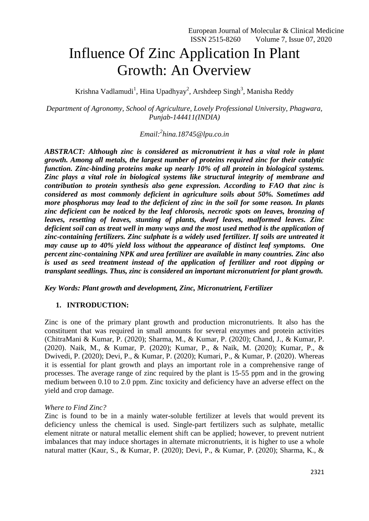# Influence Of Zinc Application In Plant Growth: An Overview

Krishna Vadlamudi<sup>1</sup>, Hina Upadhyay<sup>2</sup>, Arshdeep Singh<sup>3</sup>, Manisha Reddy

*Department of Agronomy, School of Agriculture, Lovely Professional University, Phagwara, Punjab-144411(INDIA)*

*Email:<sup>2</sup> hina.18745@lpu.co.in*

*ABSTRACT: Although zinc is considered as micronutrient it has a vital role in plant growth. Among all metals, the largest number of proteins required zinc for their catalytic function. Zinc-binding proteins make up nearly 10% of all protein in biological systems. Zinc plays a vital role in biological systems like structural integrity of membrane and contribution to protein synthesis also gene expression. According to FAO that zinc is considered as most commonly deficient in agriculture soils about 50%. Sometimes add more phosphorus may lead to the deficient of zinc in the soil for some reason. In plants zinc deficient can be noticed by the leaf chlorosis, necrotic spots on leaves, bronzing of leaves, resetting of leaves, stunting of plants, dwarf leaves, malformed leaves. Zinc deficient soil can as treat well in many ways and the most used method is the application of zinc-containing fertilizers. Zinc sulphate is a widely used fertilizer. If soils are untreated it may cause up to 40% yield loss without the appearance of distinct leaf symptoms. One percent zinc-containing NPK and urea fertilizer are available in many countries. Zinc also is used as seed treatment instead of the application of fertilizer and root dipping or transplant seedlings. Thus, zinc is considered an important micronutrient for plant growth.*

*Key Words: Plant growth and development, Zinc, Micronutrient, Fertilizer*

# **1. INTRODUCTION:**

Zinc is one of the primary plant growth and production micronutrients. It also has the constituent that was required in small amounts for several enzymes and protein activities (ChitraMani & Kumar, P. (2020); Sharma, M., & Kumar, P. (2020); Chand, J., & Kumar, P. (2020). Naik, M., & Kumar, P. (2020); Kumar, P., & Naik, M. (2020); Kumar, P., & Dwivedi, P. (2020); Devi, P., & Kumar, P. (2020); Kumari, P., & Kumar, P. (2020). Whereas it is essential for plant growth and plays an important role in a comprehensive range of processes. The average range of zinc required by the plant is 15-55 ppm and in the growing medium between 0.10 to 2.0 ppm. Zinc toxicity and deficiency have an adverse effect on the yield and crop damage.

## *Where to Find Zinc?*

Zinc is found to be in a mainly water-soluble fertilizer at levels that would prevent its deficiency unless the chemical is used. Single-part fertilizers such as sulphate, metallic element nitrate or natural metallic element shift can be applied; however, to prevent nutrient imbalances that may induce shortages in alternate micronutrients, it is higher to use a whole natural matter (Kaur, S., & Kumar, P. (2020); Devi, P., & Kumar, P. (2020); Sharma, K., &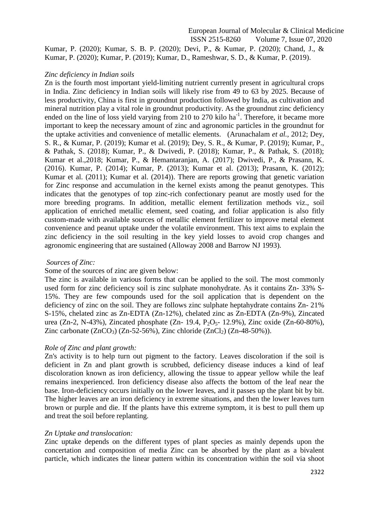Kumar, P. (2020); Kumar, S. B. P. (2020); Devi, P., & Kumar, P. (2020); Chand, J., & Kumar, P. (2020); Kumar, P. (2019); Kumar, D., Rameshwar, S. D., & Kumar, P. (2019).

## *Zinc deficiency in Indian soils*

Zn is the fourth most important yield-limiting nutrient currently present in agricultural crops in India. Zinc deficiency in Indian soils will likely rise from 49 to 63 by 2025. Because of less productivity, China is first in groundnut production followed by India, as cultivation and mineral nutrition play a vital role in groundnut productivity. As the groundnut zinc deficiency ended on the line of loss yield varying from 210 to 270 kilo ha<sup>-1</sup>. Therefore, it became more important to keep the necessary amount of zinc and agronomic particles in the groundnut for the uptake activities and convenience of metallic elements. (Arunachalam *et al.,* 2012; Dey, S. R., & Kumar, P. (2019); Kumar et al. (2019); Dey, S. R., & Kumar, P. (2019); Kumar, P., & Pathak, S. (2018); Kumar, P., & Dwivedi, P. (2018); Kumar, P., & Pathak, S. (2018); Kumar et al.,2018; Kumar, P., & Hemantaranjan, A. (2017); Dwivedi, P., & Prasann, K. (2016). Kumar, P. (2014); Kumar, P. (2013); Kumar et al. (2013); Prasann, K. (2012); Kumar et al. (2011); Kumar et al. (2014)). There are reports growing that genetic variation for Zinc response and accumulation in the kernel exists among the peanut genotypes. This indicates that the genotypes of top zinc-rich confectionary peanut are mostly used for the more breeding programs. In addition, metallic element fertilization methods viz., soil application of enriched metallic element, seed coating, and foliar application is also fitly custom-made with available sources of metallic element fertilizer to improve metal element convenience and peanut uptake under the volatile environment. This text aims to explain the zinc deficiency in the soil resulting in the key yield losses to avoid crop changes and agronomic engineering that are sustained (Alloway 2008 and Barrow NJ 1993).

## *Sources of Zinc:*

## Some of the sources of zinc are given below:

The zinc is available in various forms that can be applied to the soil. The most commonly used form for zinc deficiency soil is zinc sulphate monohydrate. As it contains Zn- 33% S-15%. They are few compounds used for the soil application that is dependent on the deficiency of zinc on the soil. They are follows zinc sulphate heptahydrate contains Zn- 21% S-15%, chelated zinc as Zn-EDTA (Zn-12%), chelated zinc as Zn-EDTA (Zn-9%), Zincated urea (Zn-2, N-43%), Zincated phosphate (Zn- 19.4, P<sub>2</sub>O<sub>5</sub>- 12.9%), Zinc oxide (Zn-60-80%), Zinc carbonate  $(ZnCO_3)$  (Zn-52-56%), Zinc chloride (ZnCl<sub>2</sub>) (Zn-48-50%)).

## *Role of Zinc and plant growth:*

Zn's activity is to help turn out pigment to the factory. Leaves discoloration if the soil is deficient in Zn and plant growth is scrubbed, deficiency disease induces a kind of leaf discoloration known as iron deficiency, allowing the tissue to appear yellow while the leaf remains inexperienced. Iron deficiency disease also affects the bottom of the leaf near the base. Iron-deficiency occurs initially on the lower leaves, and it passes up the plant bit by bit. The higher leaves are an iron deficiency in extreme situations, and then the lower leaves turn brown or purple and die. If the plants have this extreme symptom, it is best to pull them up and treat the soil before replanting.

## *Zn Uptake and translocation:*

Zinc uptake depends on the different types of plant species as mainly depends upon the concertation and composition of media Zinc can be absorbed by the plant as a bivalent particle, which indicates the linear pattern within its concentration within the soil via shoot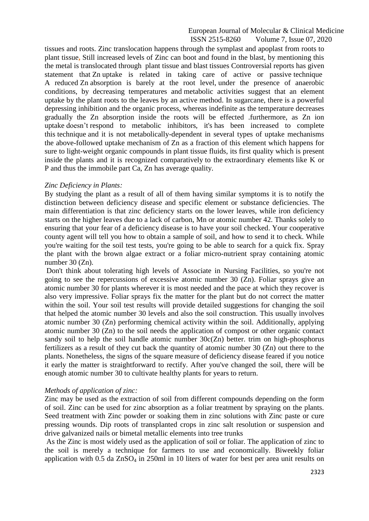tissues and roots. Zinc translocation happens through the symplast and apoplast from roots to plant tissue**,** Still increased levels of Zinc can boot and found in the blast, by mentioning this the metal is translocated through plant tissue and blast tissues Controversial reports has given statement that Zn uptake is related in taking care of active or passive technique A reduced Zn absorption is barely at the root level, under the presence of anaerobic conditions, by decreasing temperatures and metabolic activities suggest that an element uptake by the plant roots to the leaves by an active method. In sugarcane, there is a powerful depressing inhibition and the organic process, whereas indefinite as the temperature decreases gradually the Zn absorption inside the roots will be effected .furthermore, as Zn ion uptake doesn't respond to metabolic inhibitors, it's has been increased to complete this technique and it is not metabolically-dependent in several types of uptake mechanisms the above-followed uptake mechanism of Zn as a fraction of this element which happens for sure to light-weight organic compounds in plant tissue fluids, its first quality which is present inside the plants and it is recognized comparatively to the extraordinary elements like K or P and thus the immobile part Ca, Zn has average quality.

#### *Zinc Deficiency in Plants:*

By studying the plant as a result of all of them having similar symptoms it is to notify the distinction between deficiency disease and specific element or substance deficiencies. The main differentiation is that zinc deficiency starts on the lower leaves, while iron deficiency starts on the higher leaves due to a lack of carbon, Mn or atomic number 42. Thanks solely to ensuring that your fear of a deficiency disease is to have your soil checked. Your cooperative county agent will tell you how to obtain a sample of soil, and how to send it to check. While you're waiting for the soil test tests, you're going to be able to search for a quick fix. Spray the plant with the brown algae extract or a foliar micro-nutrient spray containing atomic number 30 (Zn).

Don't think about tolerating high levels of Associate in Nursing Facilities, so you're not going to see the repercussions of excessive atomic number 30 (Zn). Foliar sprays give an atomic number 30 for plants wherever it is most needed and the pace at which they recover is also very impressive. Foliar sprays fix the matter for the plant but do not correct the matter within the soil. Your soil test results will provide detailed suggestions for changing the soil that helped the atomic number 30 levels and also the soil construction. This usually involves atomic number 30 (Zn) performing chemical activity within the soil. Additionally, applying atomic number 30 (Zn) to the soil needs the application of compost or other organic contact sandy soil to help the soil handle atomic number  $30c(Zn)$  better. trim on high-phosphorus fertilizers as a result of they cut back the quantity of atomic number 30 (Zn) out there to the plants. Nonetheless, the signs of the square measure of deficiency disease feared if you notice it early the matter is straightforward to rectify. After you've changed the soil, there will be enough atomic number 30 to cultivate healthy plants for years to return.

#### *Methods of application of zinc:*

Zinc may be used as the extraction of soil from different compounds depending on the form of soil. Zinc can be used for zinc absorption as a foliar treatment by spraying on the plants. Seed treatment with Zinc powder or soaking them in zinc solutions with Zinc paste or cure pressing wounds. Dip roots of transplanted crops in zinc salt resolution or suspension and drive galvanized nails or bimetal metallic elements into tree trunks

As the Zinc is most widely used as the application of soil or foliar. The application of zinc to the soil is merely a technique for farmers to use and economically. Biweekly foliar application with  $0.5$  da  $ZnSO<sub>4</sub>$  in 250ml in 10 liters of water for best per area unit results on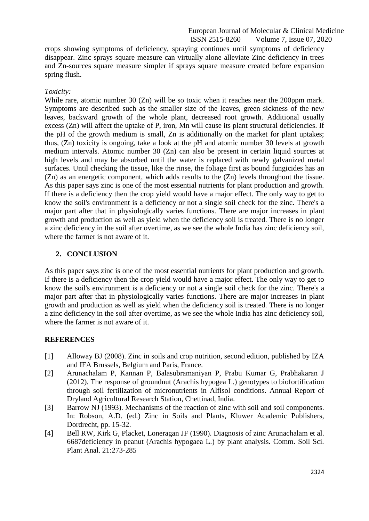crops showing symptoms of deficiency, spraying continues until symptoms of deficiency disappear. Zinc sprays square measure can virtually alone alleviate Zinc deficiency in trees and Zn-sources square measure simpler if sprays square measure created before expansion spring flush.

#### *Toxicity:*

While rare, atomic number 30 (Zn) will be so toxic when it reaches near the 200ppm mark. Symptoms are described such as the smaller size of the leaves, green sickness of the new leaves, backward growth of the whole plant, decreased root growth. Additional usually excess (Zn) will affect the uptake of P, iron, Mn will cause its plant structural deficiencies. If the pH of the growth medium is small, Zn is additionally on the market for plant uptakes; thus, (Zn) toxicity is ongoing, take a look at the pH and atomic number 30 levels at growth medium intervals. Atomic number 30 (Zn) can also be present in certain liquid sources at high levels and may be absorbed until the water is replaced with newly galvanized metal surfaces. Until checking the tissue, like the rinse, the foliage first as bound fungicides has an (Zn) as an energetic component, which adds results to the (Zn) levels throughout the tissue. As this paper says zinc is one of the most essential nutrients for plant production and growth. If there is a deficiency then the crop yield would have a major effect. The only way to get to know the soil's environment is a deficiency or not a single soil check for the zinc. There's a major part after that in physiologically varies functions. There are major increases in plant growth and production as well as yield when the deficiency soil is treated. There is no longer a zinc deficiency in the soil after overtime, as we see the whole India has zinc deficiency soil, where the farmer is not aware of it.

## **2. CONCLUSION**

As this paper says zinc is one of the most essential nutrients for plant production and growth. If there is a deficiency then the crop yield would have a major effect. The only way to get to know the soil's environment is a deficiency or not a single soil check for the zinc. There's a major part after that in physiologically varies functions. There are major increases in plant growth and production as well as yield when the deficiency soil is treated. There is no longer a zinc deficiency in the soil after overtime, as we see the whole India has zinc deficiency soil, where the farmer is not aware of it.

## **REFERENCES**

- [1] Alloway BJ (2008). Zinc in soils and crop nutrition, second edition, published by IZA and IFA Brussels, Belgium and Paris, France.
- [2] Arunachalam P, Kannan P, Balasubramaniyan P, Prabu Kumar G, Prabhakaran J (2012). The response of groundnut (Arachis hypogea L.) genotypes to biofortification through soil fertilization of micronutrients in Alfisol conditions. Annual Report of Dryland Agricultural Research Station, Chettinad, India.
- [3] Barrow NJ (1993). Mechanisms of the reaction of zinc with soil and soil components. In: Robson, A.D. (ed.) Zinc in Soils and Plants, Kluwer Academic Publishers, Dordrecht, pp. 15-32.
- [4] Bell RW, Kirk G, Placket, Loneragan JF (1990). Diagnosis of zinc Arunachalam et al. 6687deficiency in peanut (Arachis hypogaea L.) by plant analysis. Comm. Soil Sci. Plant Anal. 21:273-285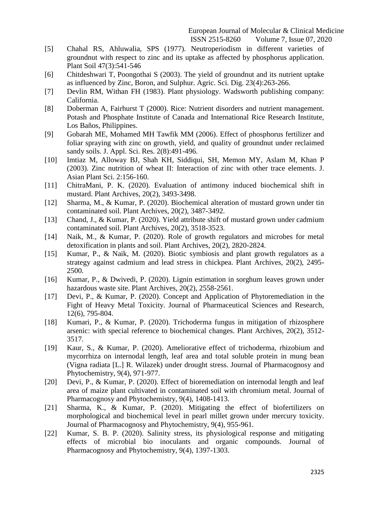- [5] Chahal RS, Ahluwalia, SPS (1977). Neutroperiodism in different varieties of groundnut with respect to zinc and its uptake as affected by phosphorus application. Plant Soil 47(3):541-546
- [6] Chitdeshwari T, Poongothai S (2003). The yield of groundnut and its nutrient uptake as influenced by Zinc, Boron, and Sulphur. Agric. Sci. Dig. 23(4):263-266.
- [7] Devlin RM, Withan FH (1983). Plant physiology. Wadsworth publishing company: California.
- [8] Doberman A, Fairhurst T (2000). Rice: Nutrient disorders and nutrient management. Potash and Phosphate Institute of Canada and International Rice Research Institute, Los Baños, Philippines.
- [9] Gobarah ME, Mohamed MH Tawfik MM (2006). Effect of phosphorus fertilizer and foliar spraying with zinc on growth, yield, and quality of groundnut under reclaimed sandy soils. J. Appl. Sci. Res. 2(8):491-496.
- [10] Imtiaz M, Alloway BJ, Shah KH, Siddiqui, SH, Memon MY, Aslam M, Khan P (2003). Zinc nutrition of wheat II: Interaction of zinc with other trace elements. J. Asian Plant Sci. 2:156-160.
- [11] ChitraMani, P. K. (2020). Evaluation of antimony induced biochemical shift in mustard. Plant Archives, 20(2), 3493-3498.
- [12] Sharma, M., & Kumar, P. (2020). Biochemical alteration of mustard grown under tin contaminated soil. Plant Archives, 20(2), 3487-3492.
- [13] Chand, J., & Kumar, P. (2020). Yield attribute shift of mustard grown under cadmium contaminated soil. Plant Archives, 20(2), 3518-3523.
- [14] Naik, M., & Kumar, P. (2020). Role of growth regulators and microbes for metal detoxification in plants and soil. Plant Archives, 20(2), 2820-2824.
- [15] Kumar, P., & Naik, M. (2020). Biotic symbiosis and plant growth regulators as a strategy against cadmium and lead stress in chickpea. Plant Archives, 20(2), 2495- 2500.
- [16] Kumar, P., & Dwivedi, P. (2020). Lignin estimation in sorghum leaves grown under hazardous waste site. Plant Archives, 20(2), 2558-2561.
- [17] Devi, P., & Kumar, P. (2020). Concept and Application of Phytoremediation in the Fight of Heavy Metal Toxicity. Journal of Pharmaceutical Sciences and Research, 12(6), 795-804.
- [18] Kumari, P., & Kumar, P. (2020). Trichoderma fungus in mitigation of rhizosphere arsenic: with special reference to biochemical changes. Plant Archives, 20(2), 3512- 3517.
- [19] Kaur, S., & Kumar, P. (2020). Ameliorative effect of trichoderma, rhizobium and mycorrhiza on internodal length, leaf area and total soluble protein in mung bean (Vigna radiata [L.] R. Wilazek) under drought stress. Journal of Pharmacognosy and Phytochemistry, 9(4), 971-977.
- [20] Devi, P., & Kumar, P. (2020). Effect of bioremediation on internodal length and leaf area of maize plant cultivated in contaminated soil with chromium metal. Journal of Pharmacognosy and Phytochemistry, 9(4), 1408-1413.
- [21] Sharma, K., & Kumar, P. (2020). Mitigating the effect of biofertilizers on morphological and biochemical level in pearl millet grown under mercury toxicity. Journal of Pharmacognosy and Phytochemistry, 9(4), 955-961.
- [22] Kumar, S. B. P. (2020). Salinity stress, its physiological response and mitigating effects of microbial bio inoculants and organic compounds. Journal of Pharmacognosy and Phytochemistry, 9(4), 1397-1303.